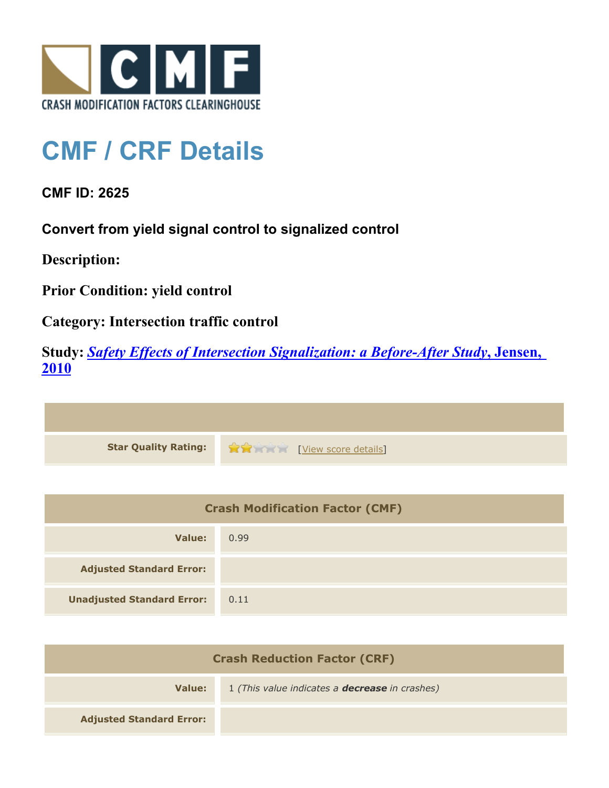

## **CMF / CRF Details**

**CMF ID: 2625**

**Convert from yield signal control to signalized control**

**Description:** 

**Prior Condition: yield control**

**Category: Intersection traffic control**

**Study:** *[Safety Effects of Intersection Signalization: a Before-After Study](http://www.cmfclearinghouse.org/study_detail.cfm?stid=170)***[, Jensen,](http://www.cmfclearinghouse.org/study_detail.cfm?stid=170) [2010](http://www.cmfclearinghouse.org/study_detail.cfm?stid=170)**



| <b>Crash Modification Factor (CMF)</b> |      |
|----------------------------------------|------|
| Value:                                 | 0.99 |
| <b>Adjusted Standard Error:</b>        |      |
| <b>Unadjusted Standard Error:</b>      | 0.11 |

| <b>Crash Reduction Factor (CRF)</b> |                                                       |
|-------------------------------------|-------------------------------------------------------|
| Value:                              | 1 (This value indicates a <b>decrease</b> in crashes) |
| <b>Adjusted Standard Error:</b>     |                                                       |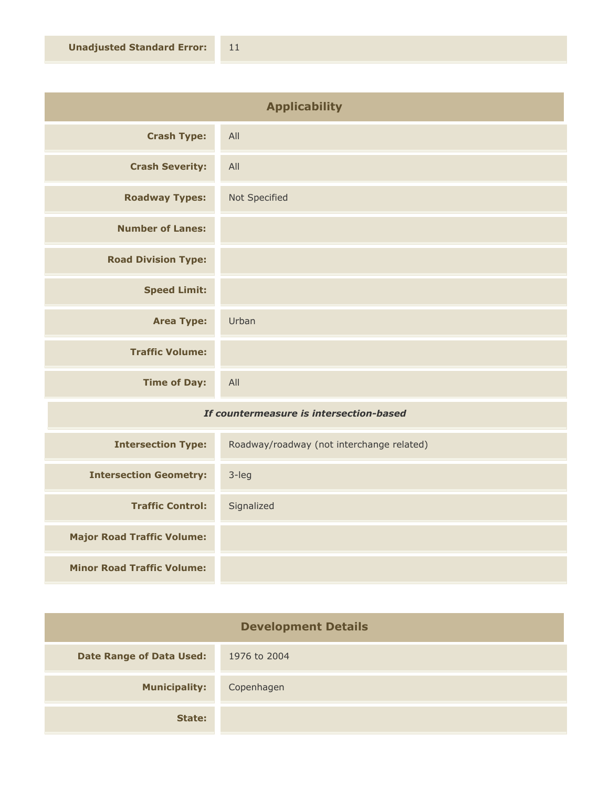| <b>Applicability</b>       |               |
|----------------------------|---------------|
| <b>Crash Type:</b>         | All           |
| <b>Crash Severity:</b>     | All           |
| <b>Roadway Types:</b>      | Not Specified |
| <b>Number of Lanes:</b>    |               |
| <b>Road Division Type:</b> |               |
| <b>Speed Limit:</b>        |               |
| <b>Area Type:</b>          | Urban         |
| <b>Traffic Volume:</b>     |               |
| <b>Time of Day:</b>        | All           |

## *If countermeasure is intersection-based*

| <b>Intersection Type:</b>         | Roadway/roadway (not interchange related) |
|-----------------------------------|-------------------------------------------|
| <b>Intersection Geometry:</b>     | 3-leg                                     |
| <b>Traffic Control:</b>           | Signalized                                |
| <b>Major Road Traffic Volume:</b> |                                           |
| <b>Minor Road Traffic Volume:</b> |                                           |

| <b>Development Details</b>      |              |
|---------------------------------|--------------|
| <b>Date Range of Data Used:</b> | 1976 to 2004 |
| <b>Municipality:</b>            | Copenhagen   |
| State:                          |              |